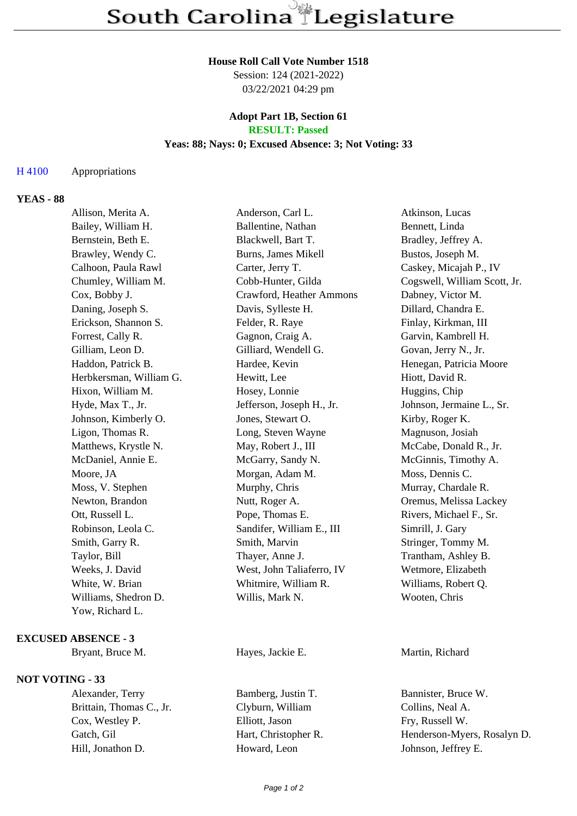#### **House Roll Call Vote Number 1518**

Session: 124 (2021-2022) 03/22/2021 04:29 pm

## **Adopt Part 1B, Section 61 RESULT: Passed**

### **Yeas: 88; Nays: 0; Excused Absence: 3; Not Voting: 33**

### H 4100 Appropriations

# **YEAS - 88**

| Allison, Merita A.      | Anderson, Carl L.         | Atkinson, Lucas              |
|-------------------------|---------------------------|------------------------------|
| Bailey, William H.      | Ballentine, Nathan        | Bennett, Linda               |
| Bernstein, Beth E.      | Blackwell, Bart T.        | Bradley, Jeffrey A.          |
| Brawley, Wendy C.       | Burns, James Mikell       | Bustos, Joseph M.            |
| Calhoon, Paula Rawl     | Carter, Jerry T.          | Caskey, Micajah P., IV       |
| Chumley, William M.     | Cobb-Hunter, Gilda        | Cogswell, William Scott, Jr. |
| Cox, Bobby J.           | Crawford, Heather Ammons  | Dabney, Victor M.            |
| Daning, Joseph S.       | Davis, Sylleste H.        | Dillard, Chandra E.          |
| Erickson, Shannon S.    | Felder, R. Raye           | Finlay, Kirkman, III         |
| Forrest, Cally R.       | Gagnon, Craig A.          | Garvin, Kambrell H.          |
| Gilliam, Leon D.        | Gilliard, Wendell G.      | Govan, Jerry N., Jr.         |
| Haddon, Patrick B.      | Hardee, Kevin             | Henegan, Patricia Moore      |
| Herbkersman, William G. | Hewitt, Lee               | Hiott, David R.              |
| Hixon, William M.       | Hosey, Lonnie             | Huggins, Chip                |
| Hyde, Max T., Jr.       | Jefferson, Joseph H., Jr. | Johnson, Jermaine L., Sr.    |
| Johnson, Kimberly O.    | Jones, Stewart O.         | Kirby, Roger K.              |
| Ligon, Thomas R.        | Long, Steven Wayne        | Magnuson, Josiah             |
| Matthews, Krystle N.    | May, Robert J., III       | McCabe, Donald R., Jr.       |
| McDaniel, Annie E.      | McGarry, Sandy N.         | McGinnis, Timothy A.         |
| Moore, JA               | Morgan, Adam M.           | Moss, Dennis C.              |
| Moss, V. Stephen        | Murphy, Chris             | Murray, Chardale R.          |
| Newton, Brandon         | Nutt, Roger A.            | Oremus, Melissa Lackey       |
| Ott, Russell L.         | Pope, Thomas E.           | Rivers, Michael F., Sr.      |
| Robinson, Leola C.      | Sandifer, William E., III | Simrill, J. Gary             |
| Smith, Garry R.         | Smith, Marvin             | Stringer, Tommy M.           |
| Taylor, Bill            | Thayer, Anne J.           | Trantham, Ashley B.          |
| Weeks, J. David         | West, John Taliaferro, IV | Wetmore, Elizabeth           |
| White, W. Brian         | Whitmire, William R.      | Williams, Robert Q.          |
| Williams, Shedron D.    | Willis, Mark N.           | Wooten, Chris                |
| Yow, Richard L.         |                           |                              |
|                         |                           |                              |

#### **EXCUSED ABSENCE - 3**

Bryant, Bruce M. **Hayes, Jackie E.** Martin, Richard

# **NOT VOTING - 33**

Brittain, Thomas C., Jr. Clyburn, William Collins, Neal A. Cox, Westley P. Elliott, Jason Fry, Russell W. Hill, Jonathon D. **Howard, Leon** Johnson, Jeffrey E.

Alexander, Terry Bamberg, Justin T. Bannister, Bruce W.

Gatch, Gil Hart, Christopher R. Henderson-Myers, Rosalyn D.